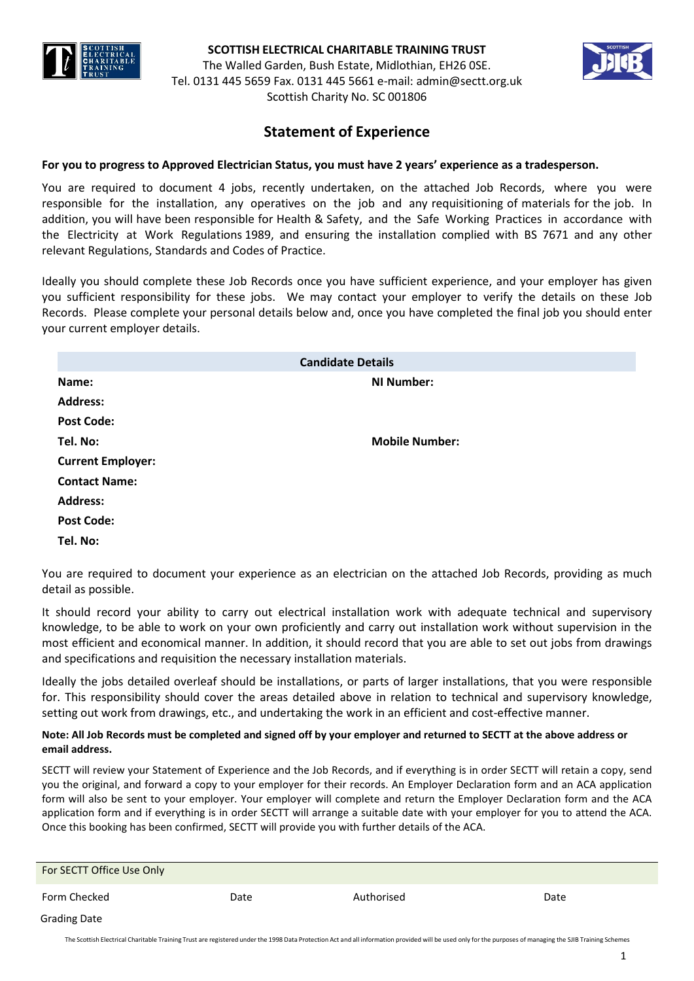

The Walled Garden, Bush Estate, Midlothian, EH26 0SE. Tel. 0131 445 5659 Fax. 0131 445 5661 e-mail: [admin@sectt.org.uk](mailto:admin@sectt.org.uk)  Scottish Charity No. SC 001806



# **Statement of Experience**

# **For you to progress to Approved Electrician Status, you must have 2 years' experience as a tradesperson.**

You are required to document 4 jobs, recently undertaken, on the attached Job Records, where you were responsible for the installation, any operatives on the job and any requisitioning of materials for the job. In addition, you will have been responsible for Health & Safety, and the Safe Working Practices in accordance with the Electricity at Work Regulations 1989, and ensuring the installation complied with BS 7671 and any other relevant Regulations, Standards and Codes of Practice.

Ideally you should complete these Job Records once you have sufficient experience, and your employer has given you sufficient responsibility for these jobs. We may contact your employer to verify the details on these Job Records. Please complete your personal details below and, once you have completed the final job you should enter your current employer details.

| <b>Candidate Details</b> |                       |  |  |
|--------------------------|-----------------------|--|--|
| Name:                    | <b>NI Number:</b>     |  |  |
| <b>Address:</b>          |                       |  |  |
| <b>Post Code:</b>        |                       |  |  |
| Tel. No:                 | <b>Mobile Number:</b> |  |  |
| <b>Current Employer:</b> |                       |  |  |
| <b>Contact Name:</b>     |                       |  |  |
| <b>Address:</b>          |                       |  |  |
| <b>Post Code:</b>        |                       |  |  |
| Tel. No:                 |                       |  |  |

You are required to document your experience as an electrician on the attached Job Records, providing as much detail as possible.

It should record your ability to carry out electrical installation work with adequate technical and supervisory knowledge, to be able to work on your own proficiently and carry out installation work without supervision in the most efficient and economical manner. In addition, it should record that you are able to set out jobs from drawings and specifications and requisition the necessary installation materials.

Ideally the jobs detailed overleaf should be installations, or parts of larger installations, that you were responsible for. This responsibility should cover the areas detailed above in relation to technical and supervisory knowledge, setting out work from drawings, etc., and undertaking the work in an efficient and cost-effective manner.

# **Note: All Job Records must be completed and signed off by your employer and returned to SECTT at the above address or email address.**

SECTT will review your Statement of Experience and the Job Records, and if everything is in order SECTT will retain a copy, send you the original, and forward a copy to your employer for their records. An Employer Declaration form and an ACA application form will also be sent to your employer. Your employer will complete and return the Employer Declaration form and the ACA application form and if everything is in order SECTT will arrange a suitable date with your employer for you to attend the ACA. Once this booking has been confirmed, SECTT will provide you with further details of the ACA.

| For SECTT Office Use Only |      |            |      |
|---------------------------|------|------------|------|
| Form Checked              | Date | Authorised | Date |
| <b>Grading Date</b>       |      |            |      |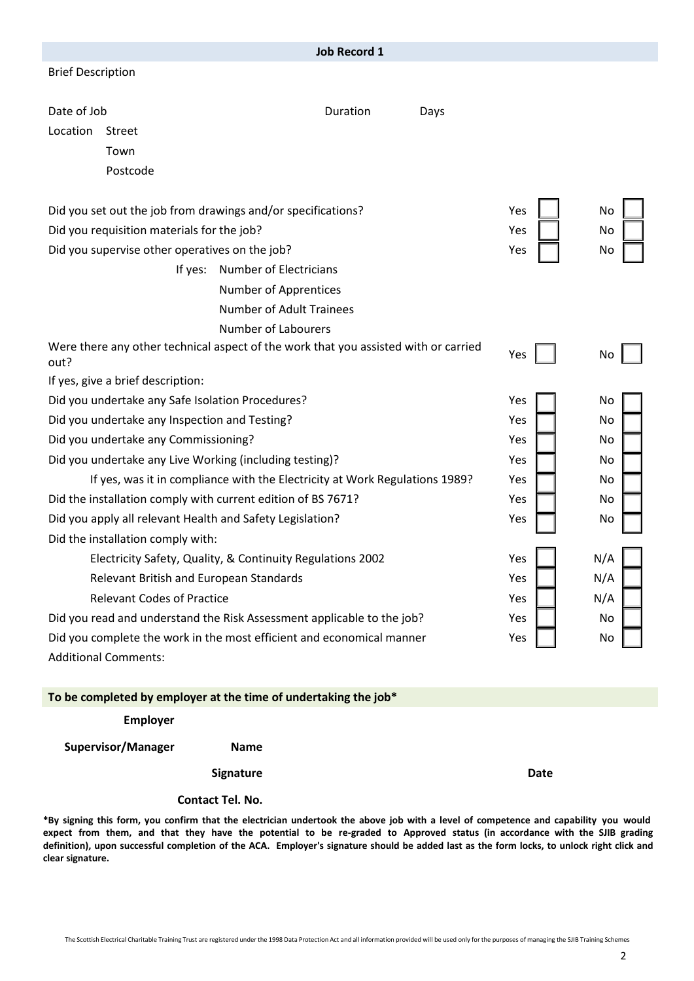|                                                                                             | <b>Job Record 1</b>             |      |     |     |
|---------------------------------------------------------------------------------------------|---------------------------------|------|-----|-----|
| <b>Brief Description</b>                                                                    |                                 |      |     |     |
|                                                                                             |                                 |      |     |     |
| Date of Job                                                                                 | Duration                        | Days |     |     |
| Location<br><b>Street</b>                                                                   |                                 |      |     |     |
| Town                                                                                        |                                 |      |     |     |
| Postcode                                                                                    |                                 |      |     |     |
| Did you set out the job from drawings and/or specifications?                                |                                 |      | Yes | No  |
| Did you requisition materials for the job?                                                  |                                 |      | Yes | No  |
| Did you supervise other operatives on the job?                                              |                                 |      | Yes | No  |
| If yes:                                                                                     | <b>Number of Electricians</b>   |      |     |     |
|                                                                                             | <b>Number of Apprentices</b>    |      |     |     |
|                                                                                             | <b>Number of Adult Trainees</b> |      |     |     |
| <b>Number of Labourers</b>                                                                  |                                 |      |     |     |
| Were there any other technical aspect of the work that you assisted with or carried<br>out? |                                 |      | Yes | No  |
| If yes, give a brief description:                                                           |                                 |      |     |     |
| Did you undertake any Safe Isolation Procedures?                                            |                                 |      | Yes | No  |
| Did you undertake any Inspection and Testing?                                               |                                 | Yes  | No  |     |
| Did you undertake any Commissioning?                                                        |                                 |      | Yes | No  |
| Did you undertake any Live Working (including testing)?                                     |                                 |      | Yes | No  |
| If yes, was it in compliance with the Electricity at Work Regulations 1989?                 |                                 |      | Yes | No  |
| Did the installation comply with current edition of BS 7671?                                |                                 |      | Yes | No  |
| Did you apply all relevant Health and Safety Legislation?                                   |                                 |      | Yes | No  |
| Did the installation comply with:                                                           |                                 |      |     |     |
| Electricity Safety, Quality, & Continuity Regulations 2002                                  |                                 |      | Yes | N/A |
| Relevant British and European Standards                                                     |                                 |      | Yes | N/A |
| <b>Relevant Codes of Practice</b>                                                           |                                 |      | Yes | N/A |
| Did you read and understand the Risk Assessment applicable to the job?                      |                                 |      | Yes | No  |
| Did you complete the work in the most efficient and economical manner                       |                                 |      | Yes | No  |
| <b>Additional Comments:</b>                                                                 |                                 |      |     |     |

**Employer**

**Supervisor/Manager Name**

**Signature Date** 

### **Contact Tel. No.**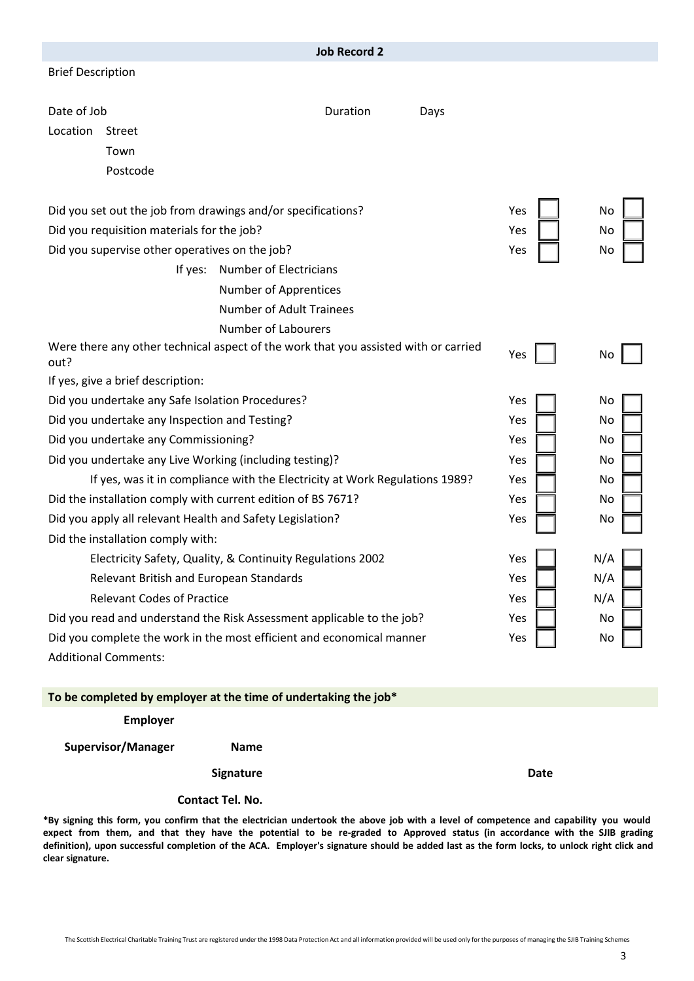|                                                                                             | <b>Job Record 2</b>             |            |     |
|---------------------------------------------------------------------------------------------|---------------------------------|------------|-----|
| <b>Brief Description</b>                                                                    |                                 |            |     |
| Date of Job                                                                                 | Duration<br>Days                |            |     |
| Location<br><b>Street</b>                                                                   |                                 |            |     |
| Town                                                                                        |                                 |            |     |
| Postcode                                                                                    |                                 |            |     |
| Did you set out the job from drawings and/or specifications?                                |                                 | Yes        | No  |
| Did you requisition materials for the job?                                                  |                                 | Yes        | No  |
| Did you supervise other operatives on the job?                                              |                                 | Yes        | No  |
| If yes:                                                                                     | Number of Electricians          |            |     |
|                                                                                             | Number of Apprentices           |            |     |
|                                                                                             | <b>Number of Adult Trainees</b> |            |     |
|                                                                                             | <b>Number of Labourers</b>      |            |     |
| Were there any other technical aspect of the work that you assisted with or carried<br>out? |                                 | Yes        | No  |
| If yes, give a brief description:                                                           |                                 |            |     |
| Did you undertake any Safe Isolation Procedures?                                            |                                 |            | No  |
| Did you undertake any Inspection and Testing?                                               |                                 | Yes        | No  |
| Did you undertake any Commissioning?                                                        |                                 |            | No  |
| Did you undertake any Live Working (including testing)?                                     |                                 |            | No  |
| If yes, was it in compliance with the Electricity at Work Regulations 1989?                 |                                 |            | No  |
| Did the installation comply with current edition of BS 7671?                                |                                 |            | No  |
| Did you apply all relevant Health and Safety Legislation?                                   |                                 | Yes        | No  |
| Did the installation comply with:                                                           |                                 |            |     |
| Electricity Safety, Quality, & Continuity Regulations 2002                                  |                                 | Yes        | N/A |
| Relevant British and European Standards                                                     |                                 | Yes        | N/A |
| <b>Relevant Codes of Practice</b>                                                           |                                 | Yes<br>Yes | N/A |
| Did you read and understand the Risk Assessment applicable to the job?                      |                                 |            | No  |
| Did you complete the work in the most efficient and economical manner                       |                                 |            | No  |
| <b>Additional Comments:</b>                                                                 |                                 |            |     |

**Employer**

**Supervisor/Manager Name**

**Signature Date** 

#### **Contact Tel. No.**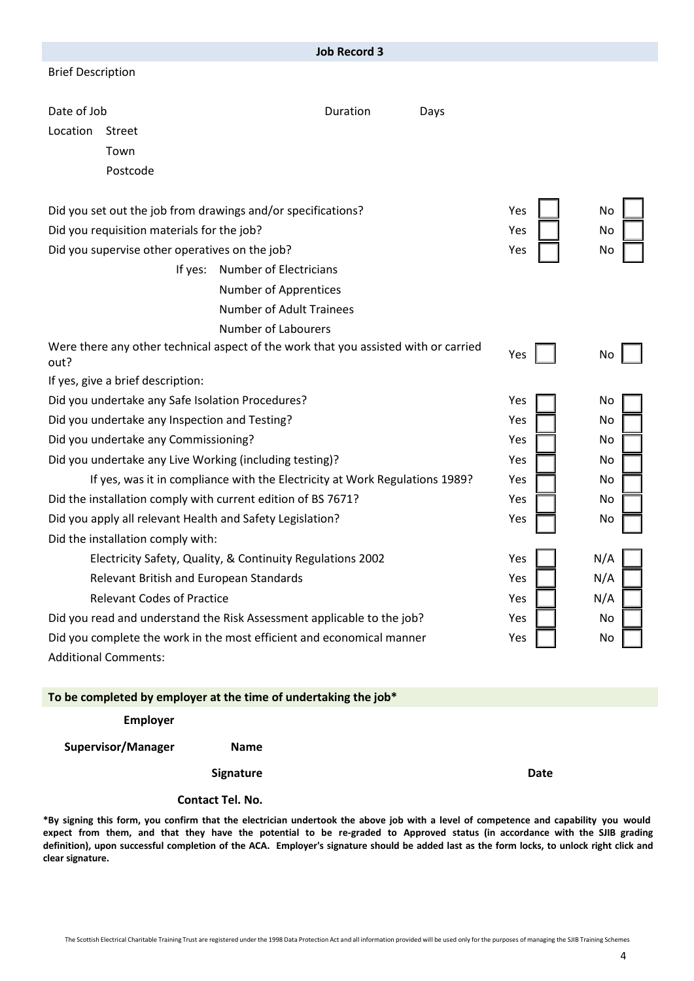|                                                                                             |                                                            | <b>Job Record 3</b> |      |     |     |
|---------------------------------------------------------------------------------------------|------------------------------------------------------------|---------------------|------|-----|-----|
| <b>Brief Description</b>                                                                    |                                                            |                     |      |     |     |
|                                                                                             |                                                            |                     |      |     |     |
| Date of Job                                                                                 |                                                            | Duration            | Days |     |     |
| Location<br><b>Street</b>                                                                   |                                                            |                     |      |     |     |
| Town                                                                                        |                                                            |                     |      |     |     |
| Postcode                                                                                    |                                                            |                     |      |     |     |
| Did you set out the job from drawings and/or specifications?                                |                                                            |                     |      | Yes | No  |
| Did you requisition materials for the job?                                                  |                                                            |                     |      | Yes | No  |
| Did you supervise other operatives on the job?                                              |                                                            |                     |      | Yes | No  |
| If yes:                                                                                     | Number of Electricians                                     |                     |      |     |     |
|                                                                                             | <b>Number of Apprentices</b>                               |                     |      |     |     |
|                                                                                             | <b>Number of Adult Trainees</b>                            |                     |      |     |     |
|                                                                                             | <b>Number of Labourers</b>                                 |                     |      |     |     |
| Were there any other technical aspect of the work that you assisted with or carried<br>out? |                                                            |                     |      | Yes | No  |
| If yes, give a brief description:                                                           |                                                            |                     |      |     |     |
| Did you undertake any Safe Isolation Procedures?                                            |                                                            |                     |      | Yes | No  |
| Did you undertake any Inspection and Testing?                                               |                                                            |                     | Yes  | No  |     |
| Did you undertake any Commissioning?                                                        |                                                            |                     |      | Yes | No  |
| Did you undertake any Live Working (including testing)?                                     |                                                            |                     |      | Yes | No  |
| If yes, was it in compliance with the Electricity at Work Regulations 1989?                 |                                                            |                     |      | Yes | No  |
| Did the installation comply with current edition of BS 7671?                                |                                                            |                     |      | Yes | No  |
| Did you apply all relevant Health and Safety Legislation?                                   |                                                            |                     |      | Yes | No  |
| Did the installation comply with:                                                           |                                                            |                     |      |     |     |
|                                                                                             | Electricity Safety, Quality, & Continuity Regulations 2002 |                     |      | Yes | N/A |
| Relevant British and European Standards                                                     |                                                            |                     |      | Yes | N/A |
| <b>Relevant Codes of Practice</b>                                                           |                                                            |                     |      | Yes | N/A |
| Did you read and understand the Risk Assessment applicable to the job?                      |                                                            |                     | Yes  | No  |     |
| Did you complete the work in the most efficient and economical manner                       |                                                            |                     | Yes  | No  |     |
| <b>Additional Comments:</b>                                                                 |                                                            |                     |      |     |     |
|                                                                                             |                                                            |                     |      |     |     |

**Employer**

**Supervisor/Manager Name**

**Signature Date** 

#### **Contact Tel. No.**